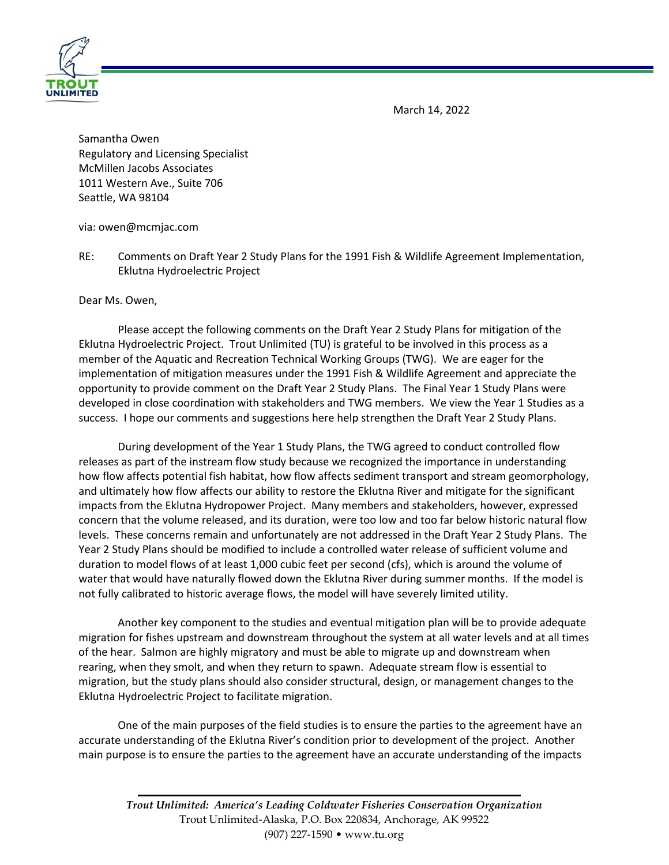March 14, 2022



Samantha Owen Regulatory and Licensing Specialist McMillen Jacobs Associates 1011 Western Ave., Suite 706 Seattle, WA 98104

via: owen@mcmjac.com

RE: Comments on Draft Year 2 Study Plans for the 1991 Fish & Wildlife Agreement Implementation, Eklutna Hydroelectric Project

Dear Ms. Owen,

Please accept the following comments on the Draft Year 2 Study Plans for mitigation of the Eklutna Hydroelectric Project. Trout Unlimited (TU) is grateful to be involved in this process as a member of the Aquatic and Recreation Technical Working Groups (TWG). We are eager for the implementation of mitigation measures under the 1991 Fish & Wildlife Agreement and appreciate the opportunity to provide comment on the Draft Year 2 Study Plans. The Final Year 1 Study Plans were developed in close coordination with stakeholders and TWG members. We view the Year 1 Studies as a success. I hope our comments and suggestions here help strengthen the Draft Year 2 Study Plans.

During development of the Year 1 Study Plans, the TWG agreed to conduct controlled flow releases as part of the instream flow study because we recognized the importance in understanding how flow affects potential fish habitat, how flow affects sediment transport and stream geomorphology, and ultimately how flow affects our ability to restore the Eklutna River and mitigate for the significant impacts from the Eklutna Hydropower Project. Many members and stakeholders, however, expressed concern that the volume released, and its duration, were too low and too far below historic natural flow levels. These concerns remain and unfortunately are not addressed in the Draft Year 2 Study Plans. The Year 2 Study Plans should be modified to include a controlled water release of sufficient volume and duration to model flows of at least 1,000 cubic feet per second (cfs), which is around the volume of water that would have naturally flowed down the Eklutna River during summer months. If the model is not fully calibrated to historic average flows, the model will have severely limited utility.

Another key component to the studies and eventual mitigation plan will be to provide adequate migration for fishes upstream and downstream throughout the system at all water levels and at all times of the hear. Salmon are highly migratory and must be able to migrate up and downstream when rearing, when they smolt, and when they return to spawn. Adequate stream flow is essential to migration, but the study plans should also consider structural, design, or management changes to the Eklutna Hydroelectric Project to facilitate migration.

One of the main purposes of the field studies is to ensure the parties to the agreement have an accurate understanding of the Eklutna River's condition prior to development of the project. Another main purpose is to ensure the parties to the agreement have an accurate understanding of the impacts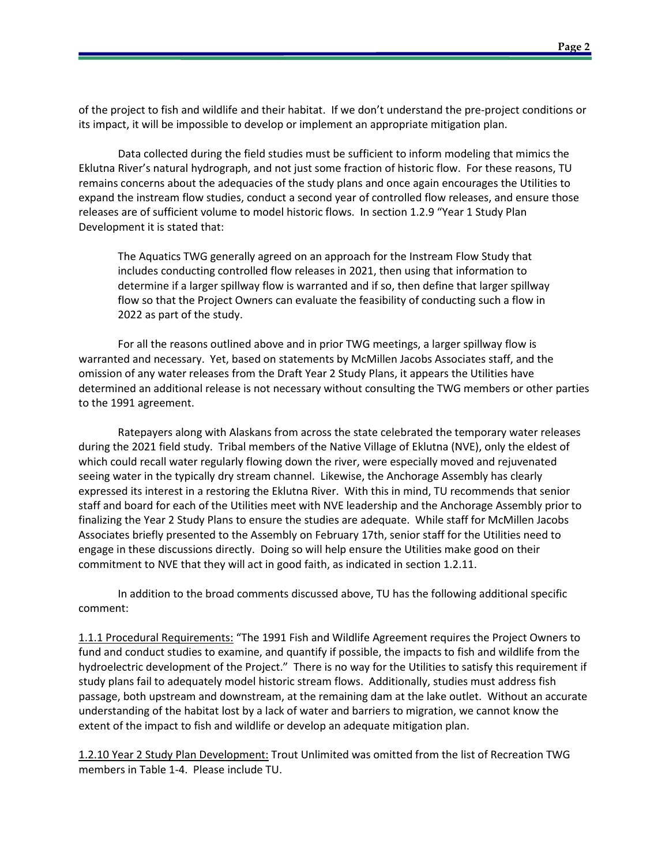of the project to fish and wildlife and their habitat. If we don't understand the pre-project conditions or its impact, it will be impossible to develop or implement an appropriate mitigation plan.

Data collected during the field studies must be sufficient to inform modeling that mimics the Eklutna River's natural hydrograph, and not just some fraction of historic flow. For these reasons, TU remains concerns about the adequacies of the study plans and once again encourages the Utilities to expand the instream flow studies, conduct a second year of controlled flow releases, and ensure those releases are of sufficient volume to model historic flows. In section 1.2.9 "Year 1 Study Plan Development it is stated that:

The Aquatics TWG generally agreed on an approach for the Instream Flow Study that includes conducting controlled flow releases in 2021, then using that information to determine if a larger spillway flow is warranted and if so, then define that larger spillway flow so that the Project Owners can evaluate the feasibility of conducting such a flow in 2022 as part of the study.

For all the reasons outlined above and in prior TWG meetings, a larger spillway flow is warranted and necessary. Yet, based on statements by McMillen Jacobs Associates staff, and the omission of any water releases from the Draft Year 2 Study Plans, it appears the Utilities have determined an additional release is not necessary without consulting the TWG members or other parties to the 1991 agreement.

Ratepayers along with Alaskans from across the state celebrated the temporary water releases during the 2021 field study. Tribal members of the Native Village of Eklutna (NVE), only the eldest of which could recall water regularly flowing down the river, were especially moved and rejuvenated seeing water in the typically dry stream channel. Likewise, the Anchorage Assembly has clearly expressed its interest in a restoring the Eklutna River. With this in mind, TU recommends that senior staff and board for each of the Utilities meet with NVE leadership and the Anchorage Assembly prior to finalizing the Year 2 Study Plans to ensure the studies are adequate. While staff for McMillen Jacobs Associates briefly presented to the Assembly on February 17th, senior staff for the Utilities need to engage in these discussions directly. Doing so will help ensure the Utilities make good on their commitment to NVE that they will act in good faith, as indicated in section 1.2.11.

In addition to the broad comments discussed above, TU has the following additional specific comment:

1.1.1 Procedural Requirements: "The 1991 Fish and Wildlife Agreement requires the Project Owners to fund and conduct studies to examine, and quantify if possible, the impacts to fish and wildlife from the hydroelectric development of the Project." There is no way for the Utilities to satisfy this requirement if study plans fail to adequately model historic stream flows. Additionally, studies must address fish passage, both upstream and downstream, at the remaining dam at the lake outlet. Without an accurate understanding of the habitat lost by a lack of water and barriers to migration, we cannot know the extent of the impact to fish and wildlife or develop an adequate mitigation plan.

1.2.10 Year 2 Study Plan Development: Trout Unlimited was omitted from the list of Recreation TWG members in Table 1-4. Please include TU.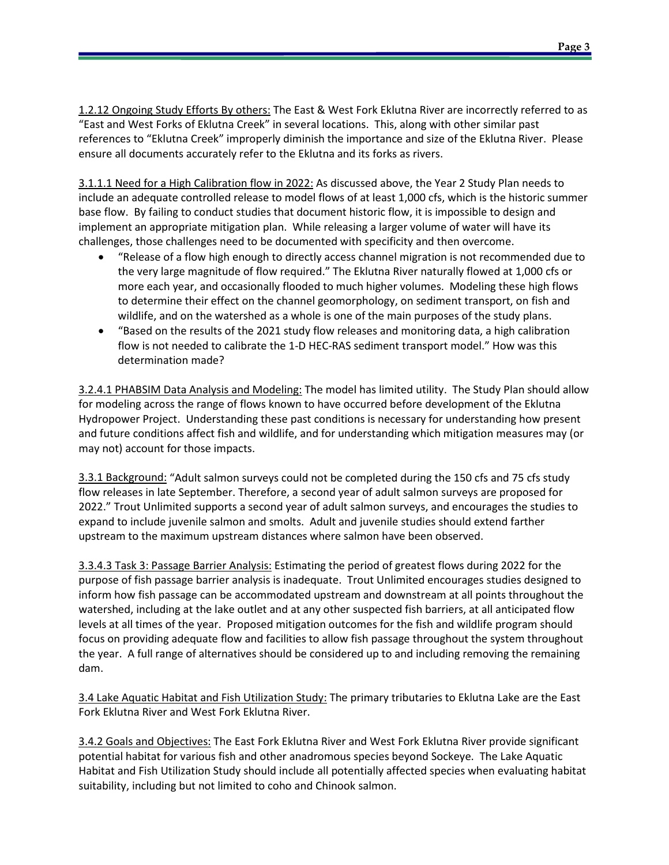1.2.12 Ongoing Study Efforts By others: The East & West Fork Eklutna River are incorrectly referred to as "East and West Forks of Eklutna Creek" in several locations. This, along with other similar past references to "Eklutna Creek" improperly diminish the importance and size of the Eklutna River. Please ensure all documents accurately refer to the Eklutna and its forks as rivers.

3.1.1.1 Need for a High Calibration flow in 2022: As discussed above, the Year 2 Study Plan needs to include an adequate controlled release to model flows of at least 1,000 cfs, which is the historic summer base flow. By failing to conduct studies that document historic flow, it is impossible to design and implement an appropriate mitigation plan. While releasing a larger volume of water will have its challenges, those challenges need to be documented with specificity and then overcome.

- "Release of a flow high enough to directly access channel migration is not recommended due to the very large magnitude of flow required." The Eklutna River naturally flowed at 1,000 cfs or more each year, and occasionally flooded to much higher volumes. Modeling these high flows to determine their effect on the channel geomorphology, on sediment transport, on fish and wildlife, and on the watershed as a whole is one of the main purposes of the study plans.
- "Based on the results of the 2021 study flow releases and monitoring data, a high calibration flow is not needed to calibrate the 1-D HEC-RAS sediment transport model." How was this determination made?

3.2.4.1 PHABSIM Data Analysis and Modeling: The model has limited utility. The Study Plan should allow for modeling across the range of flows known to have occurred before development of the Eklutna Hydropower Project. Understanding these past conditions is necessary for understanding how present and future conditions affect fish and wildlife, and for understanding which mitigation measures may (or may not) account for those impacts.

3.3.1 Background: "Adult salmon surveys could not be completed during the 150 cfs and 75 cfs study flow releases in late September. Therefore, a second year of adult salmon surveys are proposed for 2022." Trout Unlimited supports a second year of adult salmon surveys, and encourages the studies to expand to include juvenile salmon and smolts. Adult and juvenile studies should extend farther upstream to the maximum upstream distances where salmon have been observed.

3.3.4.3 Task 3: Passage Barrier Analysis: Estimating the period of greatest flows during 2022 for the purpose of fish passage barrier analysis is inadequate. Trout Unlimited encourages studies designed to inform how fish passage can be accommodated upstream and downstream at all points throughout the watershed, including at the lake outlet and at any other suspected fish barriers, at all anticipated flow levels at all times of the year. Proposed mitigation outcomes for the fish and wildlife program should focus on providing adequate flow and facilities to allow fish passage throughout the system throughout the year. A full range of alternatives should be considered up to and including removing the remaining dam.

3.4 Lake Aquatic Habitat and Fish Utilization Study: The primary tributaries to Eklutna Lake are the East Fork Eklutna River and West Fork Eklutna River.

3.4.2 Goals and Objectives: The East Fork Eklutna River and West Fork Eklutna River provide significant potential habitat for various fish and other anadromous species beyond Sockeye. The Lake Aquatic Habitat and Fish Utilization Study should include all potentially affected species when evaluating habitat suitability, including but not limited to coho and Chinook salmon.